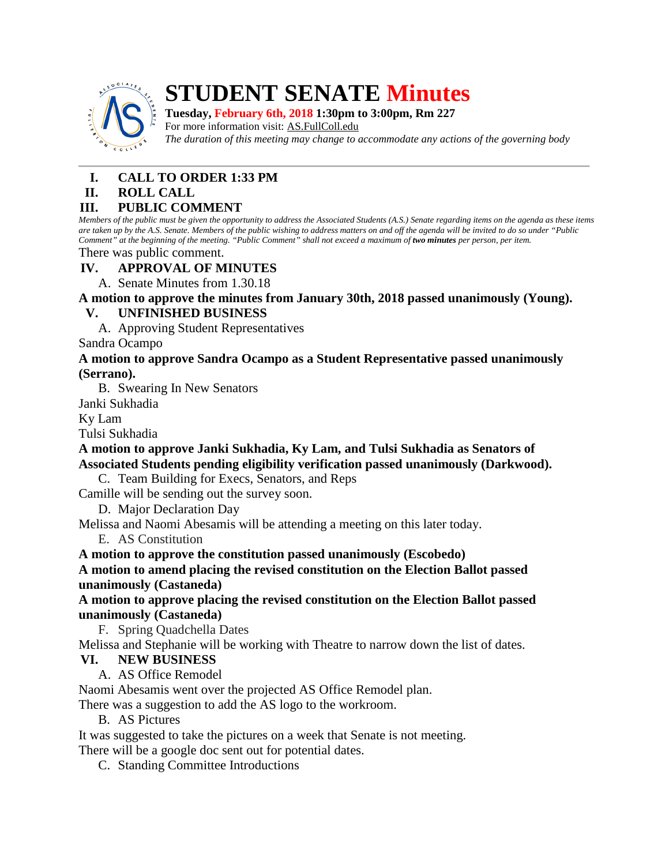

# **STUDENT SENATE Minutes**

**Tuesday, February 6th, 2018 1:30pm to 3:00pm, Rm 227**

For more information visit: AS.FullColl.edu *The duration of this meeting may change to accommodate any actions of the governing body*

## **I. CALL TO ORDER 1:33 PM**

### **II. ROLL CALL**

## **III. PUBLIC COMMENT**

*Members of the public must be given the opportunity to address the Associated Students (A.S.) Senate regarding items on the agenda as these items are taken up by the A.S. Senate. Members of the public wishing to address matters on and off the agenda will be invited to do so under "Public Comment" at the beginning of the meeting. "Public Comment" shall not exceed a maximum of two minutes per person, per item.*

There was public comment.

#### **IV. APPROVAL OF MINUTES**

A. Senate Minutes from 1.30.18

**A motion to approve the minutes from January 30th, 2018 passed unanimously (Young).**

## **V. UNFINISHED BUSINESS**

A. Approving Student Representatives

Sandra Ocampo

#### **A motion to approve Sandra Ocampo as a Student Representative passed unanimously (Serrano).**

B. Swearing In New Senators

Janki Sukhadia

Ky Lam

Tulsi Sukhadia

**A motion to approve Janki Sukhadia, Ky Lam, and Tulsi Sukhadia as Senators of Associated Students pending eligibility verification passed unanimously (Darkwood).**

C. Team Building for Execs, Senators, and Reps

Camille will be sending out the survey soon.

D. Major Declaration Day

Melissa and Naomi Abesamis will be attending a meeting on this later today.

E. AS Constitution

**A motion to approve the constitution passed unanimously (Escobedo)**

**A motion to amend placing the revised constitution on the Election Ballot passed unanimously (Castaneda)**

**A motion to approve placing the revised constitution on the Election Ballot passed unanimously (Castaneda)**

F. Spring Quadchella Dates

Melissa and Stephanie will be working with Theatre to narrow down the list of dates.

### **VI. NEW BUSINESS**

A. AS Office Remodel

Naomi Abesamis went over the projected AS Office Remodel plan.

There was a suggestion to add the AS logo to the workroom.

B. AS Pictures

It was suggested to take the pictures on a week that Senate is not meeting. There will be a google doc sent out for potential dates.

C. Standing Committee Introductions